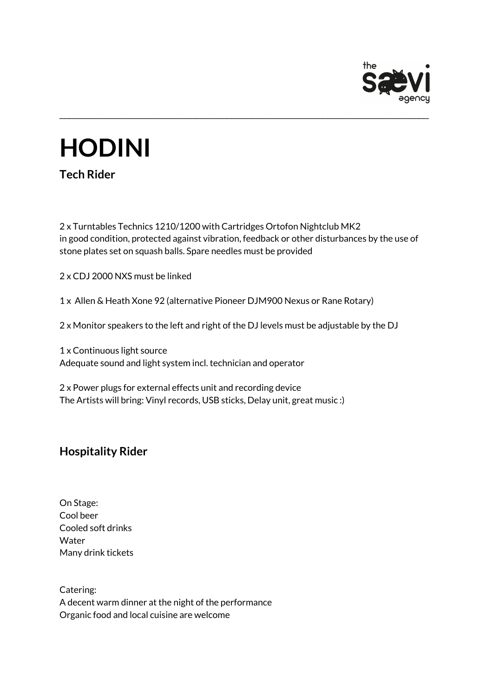

## **HODINI**

**Tech Rider**

2 x Turntables Technics 1210/1200 with Cartridges Ortofon Nightclub MK2 in good condition, protected against vibration, feedback or other disturbances by the use of stone plates set on squash balls. Spare needles must be provided

\_\_\_\_\_\_\_\_\_\_\_\_\_\_\_\_\_\_\_\_\_\_\_\_\_\_\_\_\_\_\_\_\_\_\_\_\_\_\_\_\_\_\_\_\_\_\_\_\_\_\_\_\_\_\_\_\_\_\_\_\_\_\_\_\_\_\_\_\_\_\_\_\_

2 x CDJ 2000 NXS must be linked

1 x Allen & Heath Xone 92 (alternative Pioneer DJM900 Nexus or Rane Rotary)

2 x Monitor speakers to the left and right of the DJ levels must be adjustable by the DJ

1 x Continuous light source Adequate sound and light system incl. technician and operator

2 x Power plugs for external effects unit and recording device The Artists will bring: Vinyl records, USB sticks, Delay unit, great music :)

## **Hospitality Rider**

On Stage: Cool beer Cooled soft drinks Water Many drink tickets

Catering: A decent warm dinner at the night of the performance Organic food and local cuisine are welcome